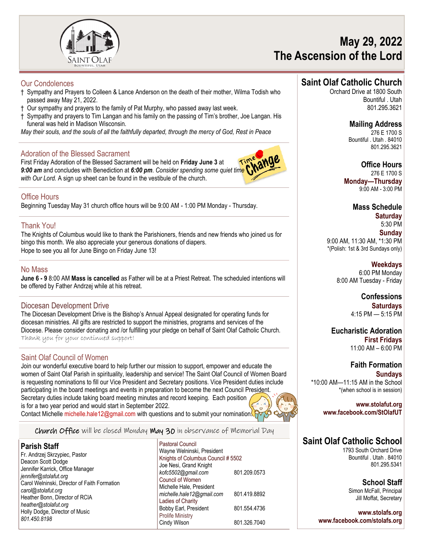

# **May 29, 2022 The Ascension of the Lord**

### Our Condolences

- † Sympathy and Prayers to Colleen & Lance Anderson on the death of their mother, Wilma Todish who passed away May 21, 2022.
- † Our sympathy and prayers to the family of Pat Murphy, who passed away last week.
- † Sympathy and prayers to Tim Langan and his family on the passing of Tim's brother, Joe Langan. His funeral was held in Madison Wisconsin.

*May their souls, and the souls of all the faithfully departed, through the mercy of God, Rest in Peace*

### Adoration of the Blessed Sacrament

First Friday Adoration of the Blessed Sacrament will be held on **Friday June 3** at *9:00 am* and concludes with Benediction at *6:00 pm*. *Consider spending some quiet time with Our Lord.* A sign up sheet can be found in the vestibule of the church.



### Office Hours

Beginning Tuesday May 31 church office hours will be 9:00 AM - 1:00 PM Monday - Thursday.

### Thank You!

The Knights of Columbus would like to thank the Parishioners, friends and new friends who joined us for bingo this month. We also appreciate your generous donations of diapers. Hope to see you all for June Bingo on Friday June 13!

### No Mass

**June 6 - 9** 8:00 AM **Mass is cancelled** as Father will be at a Priest Retreat. The scheduled intentions will be offered by Father Andrzej while at his retreat.

### Diocesan Development Drive

The Diocesan Development Drive is the Bishop's Annual Appeal designated for operating funds for diocesan ministries. All gifts are restricted to support the ministries, programs and services of the Diocese. Please consider donating and /or fulfilling your pledge on behalf of Saint Olaf Catholic Church. Thank you for your continued support!

### Saint Olaf Council of Women

Join our wonderful executive board to help further our mission to support, empower and educate the women of Saint Olaf Parish in spirituality, leadership and service! The Saint Olaf Council of Women Board is requesting nominations to fill our Vice President and Secretary positions. Vice President duties include participating in the board meetings and events in preparation to become the next Council President. Secretary duties include taking board meeting minutes and record keeping. Each position is for a two year period and would start in September 2022. Contact Michelle michelle.hale12@gmail.com with questions and to submit your nomination. F

Church Office will be closed Monday May 30 in observance of Memorial Day

#### **Parish Staff**

Fr. Andrzej Skrzypiec, Pastor Deacon Scott Dodge Jennifer Karrick, Office Manager *jennifer@stolafut.org* Carol Welninski, Director of Faith Formation *carol@stolafut.org* Heather Bonn, Director of RCIA *heather@stolafut.org* Holly Dodge, Director of Music *801.450.8198*

Pastoral Council Wayne Welninski, President Knights of Columbus Council # 5502 Joe Nesi, Grand Knight *kofc5502@gmail.com* 801.209.0573 Council of Women Michelle Hale, President *michelle.hale12@gmail.com* 801.419.8892 Ladies of Charity Bobby Earl, President 801.554.4736 Prolife Ministry Cindy Wilson 801.326.7040

### **Saint Olaf Catholic Church**

Orchard Drive at 1800 South Bountiful . Utah 801.295.3621

> **Mailing Address** 276 E 1700 S Bountiful . Utah . 84010 801.295.3621

**Office Hours** 276 E 1700 S **Monday—Thursday**  9:00 AM - 3:00 PM

> **Mass Schedule Saturday**

5:30 PM **Sunday** 9:00 AM, 11:30 AM, \*1:30 PM \*(Polish: 1st & 3rd Sundays only)

**Weekdays** 6:00 PM Monday 8:00 AM Tuesday - Friday

> **Confessions Saturdays** 4:15 PM — 5:15 PM

**Eucharistic Adoration First Fridays** 11:00 AM – 6:00 PM

**Faith Formation Sundays** \*10:00 AM—11:15 AM in the School \*(when school is in session)

**www.stolafut.org www.facebook.com/StOlafUT**

## **Saint Olaf Catholic School**

1793 South Orchard Drive Bountiful . Utah . 84010 801.295.5341

> **School Staff** Simon McFall, Principal Jill Moffat, Secretary

**www.stolafs.org www.facebook.com/stolafs.org**